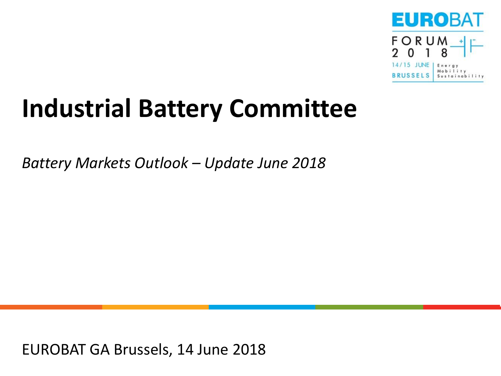

# **Industrial Battery Committee**

*Battery Markets Outlook – Update June 2018*

EUROBAT GA Brussels, 14 June 2018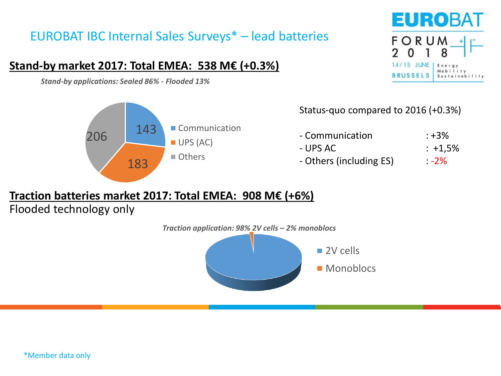# EUROBAT IBC Internal Sales Surveys\* – lead batteries

## **Stand-by market 2017: Total EMEA: 538 M€ (+0.3%)**

*Stand-by applications: Sealed 86% - Flooded 13%*





### Status-quo compared to 2016 (+0.3%)

| - Communication         | : +3%       |
|-------------------------|-------------|
| - UPS AC                | $: +1.5%$   |
| - Others (including ES) | $\cdot$ -2% |

## **Traction batteries market 2017: Total EMEA: 908 M€ (+6%)**

Flooded technology only

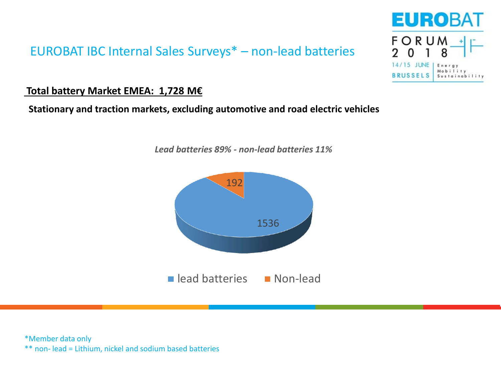## EUROBAT IBC Internal Sales Surveys\* – non-lead batteries

### **Total battery Market EMEA: 1,728 M€**

### **Stationary and traction markets, excluding automotive and road electric vehicles**



*Lead batteries 89% - non-lead batteries 11%*